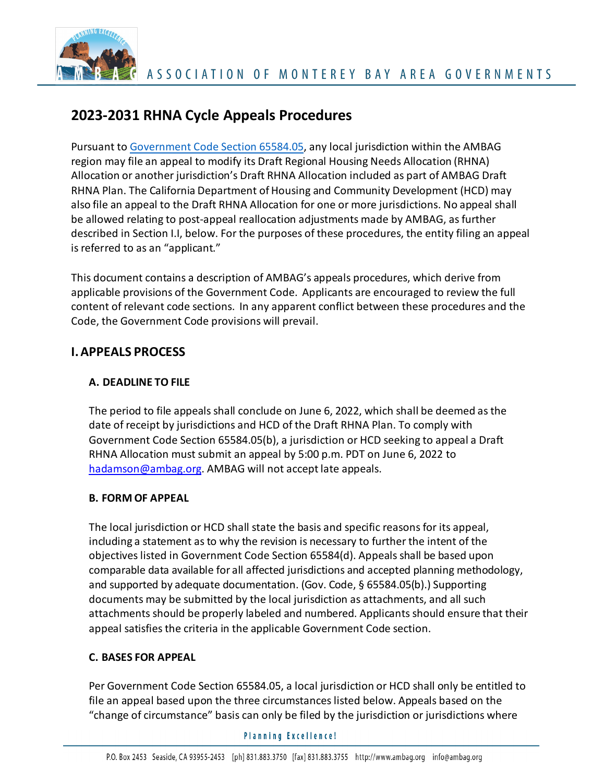

# **2023-2031 RHNA Cycle Appeals Procedures**

Pursuant to [Government Code Section 65584.05, a](https://leginfo.legislature.ca.gov/faces/codes_displaySection.xhtml?lawCode=GOV§ionNum=65584.05)ny local jurisdiction within the AMBAG region may file an appeal to modify its Draft Regional Housing Needs Allocation (RHNA) Allocation or another jurisdiction's Draft RHNA Allocation included as part of AMBAG Draft RHNA Plan. The California Department of Housing and Community Development (HCD) may also file an appeal to the Draft RHNA Allocation for one or more jurisdictions. No appeal shall be allowed relating to post-appeal reallocation adjustments made by AMBAG, as further described in Section I.I, below. For the purposes of these procedures, the entity filing an appeal is referred to as an "applicant."

This document contains a description of AMBAG's appeals procedures, which derive from applicable provisions of the Government Code. Applicants are encouraged to review the full content of relevant code sections. In any apparent conflict between these procedures and the Code, the Government Code provisions will prevail.

# **I.APPEALS PROCESS**

# **A. DEADLINE TO FILE**

The period to file appeals shall conclude on June 6, 2022, which shall be deemed as the date of receipt by jurisdictions and HCD of the Draft RHNA Plan. To comply with Government Code Section 65584.05(b), a jurisdiction or HCD seeking to appeal a Draft RHNA Allocation must submit an appeal by 5:00 p.m. PDT on June 6, 2022 to [hadamson@ambag.org.](mailto:hadamson@ambag.org) AMBAG will not accept late appeals.

## **B. FORM OF APPEAL**

The local jurisdiction or HCD shall state the basis and specific reasons for its appeal, including a statement as to why the revision is necessary to further the intent of the objectives listed in Government Code Section 65584(d). Appeals shall be based upon comparable data available for all affected jurisdictions and accepted planning methodology, and supported by adequate documentation. (Gov. Code, § 65584.05(b).) Supporting documents may be submitted by the local jurisdiction as attachments, and all such attachments should be properly labeled and numbered. Applicants should ensure that their appeal satisfies the criteria in the applicable Government Code section.

## **C. BASES FOR APPEAL**

Per Government Code Section 65584.05, a local jurisdiction or HCD shall only be entitled to file an appeal based upon the three circumstances listed below. Appeals based on the "change of circumstance" basis can only be filed by the jurisdiction or jurisdictions where

#### **Planning Excellence!**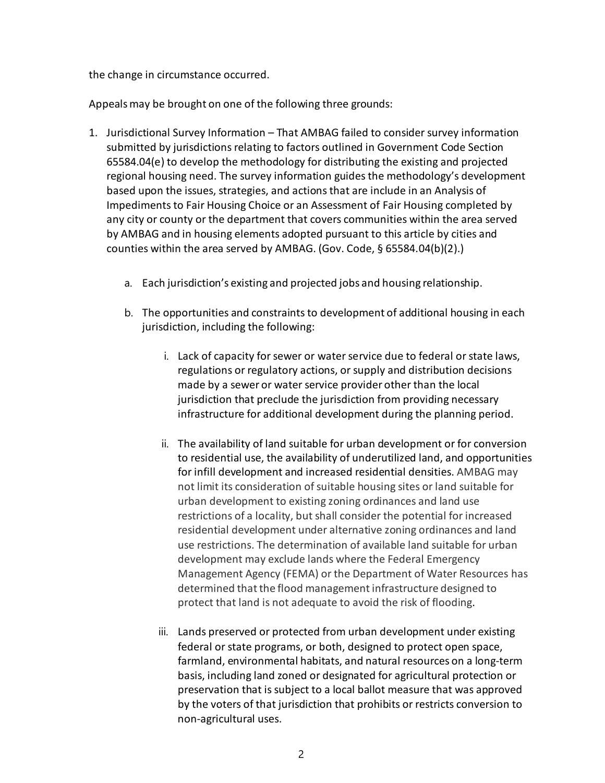the change in circumstance occurred.

Appealsmay be brought on one of the following three grounds:

- 1. Jurisdictional Survey Information That AMBAG failed to consider survey information submitted by jurisdictions relating to factors outlined i[n Government Code Section](https://leginfo.legislature.ca.gov/faces/codes_displaySection.xhtml?lawCode=GOV§ionNum=65584.04)  [65584.04\(e\) t](https://leginfo.legislature.ca.gov/faces/codes_displaySection.xhtml?lawCode=GOV§ionNum=65584.04)o develop the methodology for distributing the existing and projected regional housing need. The survey information guides the methodology's development based upon the issues, strategies, and actions that are include in an Analysis of Impediments to Fair Housing Choice or an Assessment of Fair Housing completed by any city or county or the department that covers communities within the area served by AMBAG and in housing elements adopted pursuant to this article by cities and counties within the area served by AMBAG. (Gov. Code, § 65584.04(b)(2).)
	- a. Each jurisdiction's existing and projected jobs and housing relationship.
	- b. The opportunities and constraints to development of additional housing in each jurisdiction, including the following:
		- i. Lack of capacity for sewer or water service due to federal or state laws, regulations or regulatory actions, or supply and distribution decisions made by a sewer or water service provider other than the local jurisdiction that preclude the jurisdiction from providing necessary infrastructure for additional development during the planning period.
		- ii. The availability of land suitable for urban development or for conversion to residential use, the availability of underutilized land, and opportunities for infill development and increased residential densities. AMBAG may not limit its consideration of suitable housing sites or land suitable for urban development to existing zoning ordinances and land use restrictions of a locality, but shall consider the potential for increased residential development under alternative zoning ordinances and land use restrictions. The determination of available land suitable for urban development may exclude lands where the Federal Emergency Management Agency (FEMA) or the Department of Water Resources has determined that the flood management infrastructure designed to protect that land is not adequate to avoid the risk of flooding.
		- iii. Lands preserved or protected from urban development under existing federal or state programs, or both, designed to protect open space, farmland, environmental habitats, and natural resources on a long-term basis, including land zoned or designated for agricultural protection or preservation that is subject to a local ballot measure that was approved by the voters of that jurisdiction that prohibits or restricts conversion to non-agricultural uses.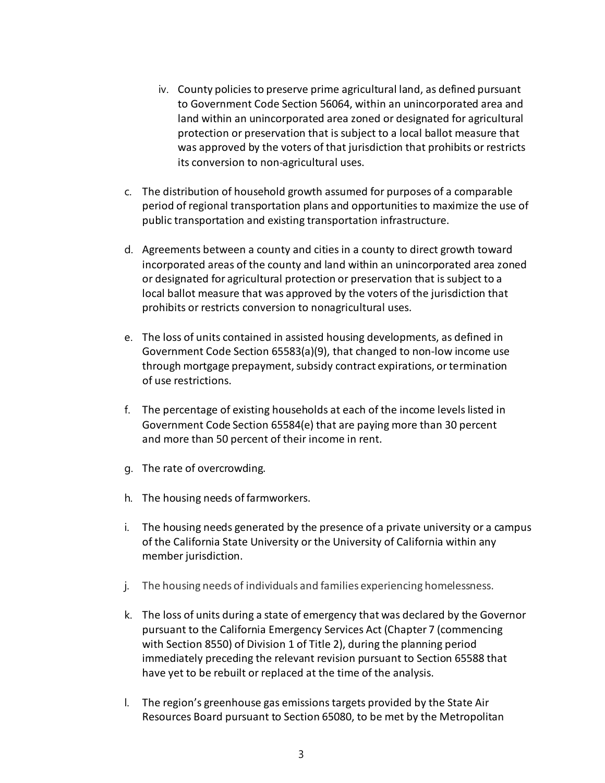- iv. County policies to preserve prime agricultural land, as defined pursuant to Government Code Section 56064, within an unincorporated area and land within an unincorporated area zoned or designated for agricultural protection or preservation that is subject to a local ballot measure that was approved by the voters of that jurisdiction that prohibits or restricts its conversion to non-agricultural uses.
- c. The distribution of household growth assumed for purposes of a comparable period of regional transportation plans and opportunitiesto maximize the use of public transportation and existing transportation infrastructure.
- d. Agreements between a county and cities in a county to direct growth toward incorporated areas of the county and land within an unincorporated area zoned or designated for agricultural protection or preservation that issubject to a local ballot measure that was approved by the voters of the jurisdiction that prohibits or restricts conversion to nonagricultural uses.
- e. The loss of units contained in assisted housing developments, as defined in Government Code Section 65583(a)(9), that changed to non-low income use through mortgage prepayment, subsidy contract expirations, or termination of use restrictions.
- f. The percentage of existing households at each of the income levels listed in Government Code Section 65584(e) that are paying more than 30 percent and more than 50 percent of their income in rent.
- g. The rate of overcrowding.
- h. The housing needs of farmworkers.
- i. The housing needs generated by the presence of a private university or a campus of the California State University or the University of California within any member jurisdiction.
- j. The housing needs of individuals and families experiencing homelessness.
- k. The loss of units during a state of emergency that was declared by the Governor pursuant to the California Emergency Services Act (Chapter 7 (commencing with Section 8550) of Division 1 of Title 2), during the planning period immediately preceding the relevant revision pursuant to Section 65588 that have yet to be rebuilt or replaced at the time of the analysis.
- l. The region's greenhouse gas emissions targets provided by the State Air Resources Board pursuant to Section 65080, to be met by the Metropolitan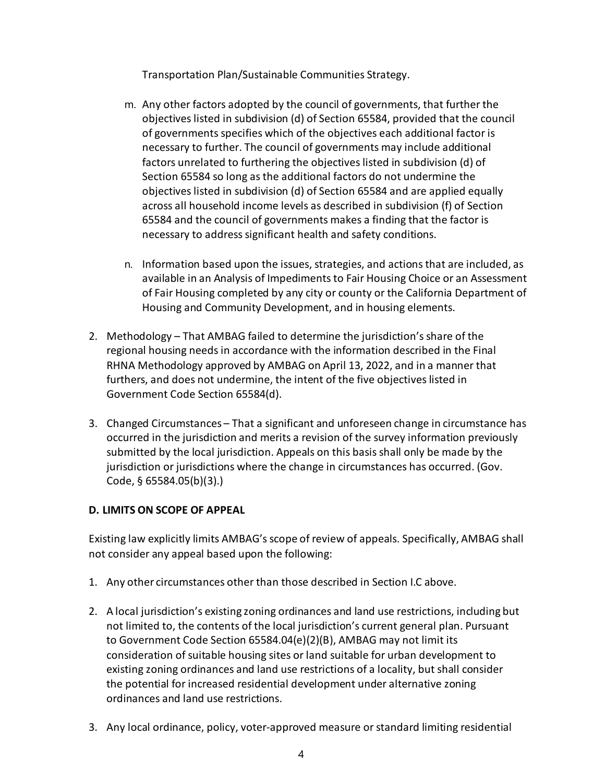Transportation Plan/Sustainable Communities Strategy.

- m. Any other factors adopted by the council of governments, that further the objectives listed in subdivision (d) of Section 65584, provided that the council of governments specifies which of the objectives each additional factor is necessary to further. The council of governments may include additional factors unrelated to furthering the objectives listed in subdivision (d) of Section 65584 so long as the additional factors do not undermine the objectives listed in subdivision (d) of Section 65584 and are applied equally across all household income levels as described in subdivision (f) of Section 65584 and the council of governments makes a finding that the factor is necessary to address significant health and safety conditions.
- n. Information based upon the issues, strategies, and actions that are included, as available in an Analysis of Impediments to Fair Housing Choice or an Assessment of Fair Housing completed by any city or county or the California Department of Housing and Community Development, and in housing elements.
- 2. Methodology That AMBAG failed to determine the jurisdiction's share of the regional housing needs in accordance with the information described in the Final RHNA Methodology approved by AMBAG on April 13, 2022, and in a manner that furthers, and does not undermine, the intent of the five objectives listed in Government Code Section 65584(d).
- 3. Changed Circumstances That a significant and unforeseen change in circumstance has occurred in the jurisdiction and merits a revision of the survey information previously submitted by the local jurisdiction. Appeals on this basis shall only be made by the jurisdiction or jurisdictions where the change in circumstances has occurred. (Gov. Code, § 65584.05(b)(3).)

## **D. LIMITS ON SCOPE OF APPEAL**

Existing law explicitly limits AMBAG's scope of review of appeals. Specifically, AMBAG shall not consider any appeal based upon the following:

- 1. Any other circumstances other than those described in Section I.C above.
- 2. A local jurisdiction's existing zoning ordinances and land use restrictions, including but not limited to, the contents of the local jurisdiction's current general plan. Pursuant to Government Code Section 65584.04(e)(2)(B), AMBAG may not limit its consideration of suitable housing sites or land suitable for urban development to existing zoning ordinances and land use restrictions of a locality, but shall consider the potential for increased residential development under alternative zoning ordinances and land use restrictions.
- 3. Any local ordinance, policy, voter-approved measure or standard limiting residential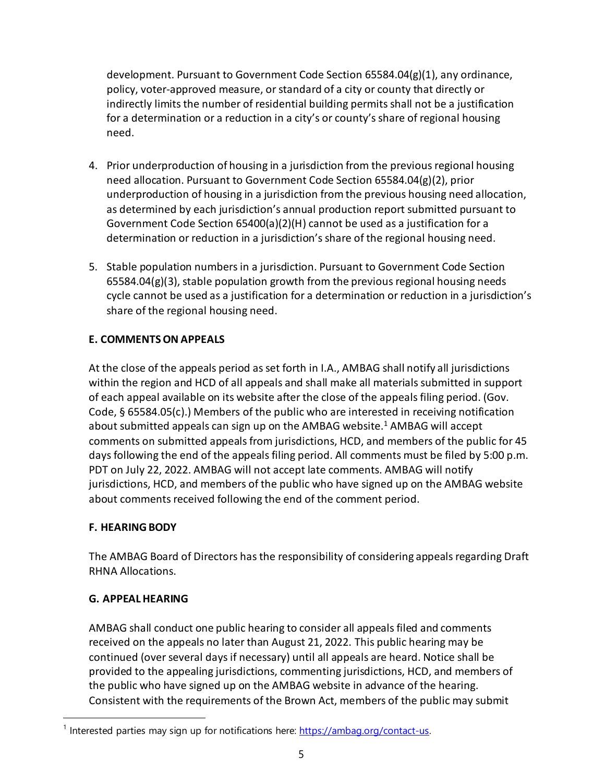development. Pursuant to Government Code Section 65584.04(g)(1), any ordinance, policy, voter-approved measure, orstandard of a city or county that directly or indirectly limits the number of residential building permits shall not be a justification for a determination or a reduction in a city's or county's share of regional housing need.

- 4. Prior underproduction of housing in a jurisdiction from the previousregional housing need allocation. Pursuant to Government Code Section 65584.04(g)(2), prior underproduction of housing in a jurisdiction fromthe previous housing need allocation, as determined by each jurisdiction's annual production report submitted pursuant to Government Code Section 65400(a)(2)(H) cannot be used as a justification for a determination or reduction in a jurisdiction's share of the regional housing need.
- 5. Stable population numbers in a jurisdiction. Pursuant to Government Code Section  $65584.04(g)(3)$ , stable population growth from the previous regional housing needs cycle cannot be used as a justification for a determination or reduction in a jurisdiction's share of the regional housing need.

## **E. COMMENTSON APPEALS**

At the close of the appeals period asset forth in I.A., AMBAG shall notify all jurisdictions within the region and HCD of all appeals and shall make all materials submitted in support of each appeal available on its website after the close of the appeals filing period. (Gov. Code, § 65584.05(c).) Members of the public who are interested in receiving notification about submitted appeals can sign up on the AMBAG website.<sup>1</sup> AMBAG will accept comments on submitted appeals from jurisdictions, HCD, and members of the public for 45 days following the end of the appeals filing period. All comments must be filed by 5:00 p.m. PDT on July 22, 2022. AMBAG will not accept late comments. AMBAG will notify jurisdictions, HCD, and members of the public who have signed up on the AMBAG website about comments received following the end of the comment period.

## **F. HEARINGBODY**

The AMBAG Board of Directors has the responsibility of considering appealsregarding Draft RHNA Allocations.

## **G. APPEAL HEARING**

AMBAG shall conduct one public hearing to consider all appeals filed and comments received on the appeals no later than August 21, 2022. This public hearing may be continued (over several days if necessary) until all appeals are heard. Notice shall be provided to the appealing jurisdictions, commenting jurisdictions, HCD, and members of the public who have signed up on the AMBAG website in advance of the hearing. Consistent with the requirements of the Brown Act, members of the public may submit

<span id="page-4-0"></span> $1$  Interested parties may sign up for notifications here: [https://ambag.org/contact-us.](https://ambag.org/contact-us)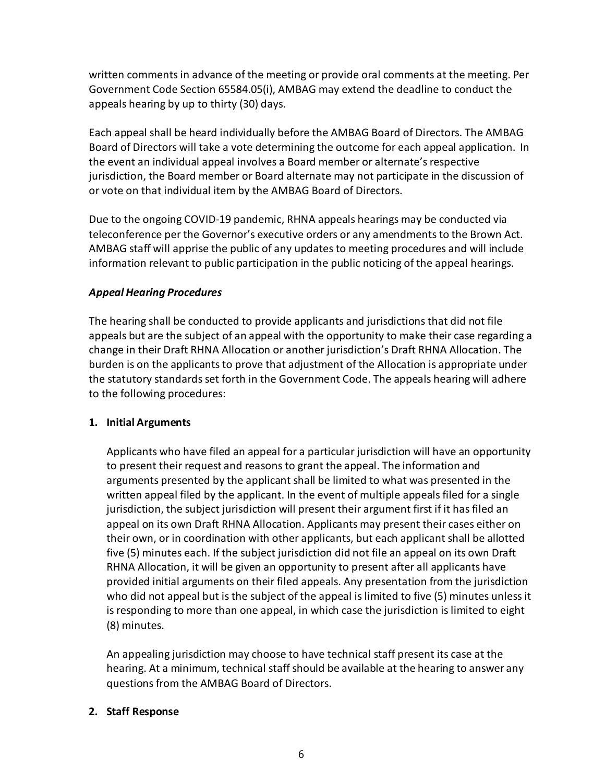written comments in advance of the meeting or provide oral comments at the meeting. Per Government Code Section 65584.05(i), AMBAG may extend the deadline to conduct the appeals hearing by up to thirty (30) days.

Each appeal shall be heard individually before the AMBAG Board of Directors. The AMBAG Board of Directors will take a vote determining the outcome for each appeal application. In the event an individual appeal involves a Board member or alternate's respective jurisdiction, the Board member or Board alternate may not participate in the discussion of or vote on that individual item by the AMBAG Board of Directors.

Due to the ongoing COVID-19 pandemic, RHNA appeals hearings may be conducted via teleconference per the Governor's executive orders or any amendmentsto the Brown Act. AMBAG staff will apprise the public of any updates to meeting procedures and will include information relevant to public participation in the public noticing of the appeal hearings.

## *Appeal Hearing Procedures*

The hearing shall be conducted to provide applicants and jurisdictions that did not file appeals but are the subject of an appeal with the opportunity to make their case regarding a change in their Draft RHNA Allocation or another jurisdiction's Draft RHNA Allocation. The burden is on the applicants to prove that adjustment of the Allocation is appropriate under the statutory standards set forth in the Government Code. The appeals hearing will adhere to the following procedures:

## **1. Initial Arguments**

Applicants who have filed an appeal for a particular jurisdiction will have an opportunity to present their request and reasonsto grant the appeal. The information and arguments presented by the applicant shall be limited to what was presented in the written appeal filed by the applicant. In the event of multiple appeals filed for a single jurisdiction, the subject jurisdiction will present their argument first if it has filed an appeal on its own Draft RHNA Allocation. Applicants may present their cases either on their own, or in coordination with other applicants, but each applicant shall be allotted five (5) minutes each. If the subject jurisdiction did not file an appeal on its own Draft RHNA Allocation, it will be given an opportunity to present after all applicants have provided initial arguments on their filed appeals. Any presentation from the jurisdiction who did not appeal but is the subject of the appeal is limited to five (5) minutes unless it is responding to more than one appeal, in which case the jurisdiction is limited to eight (8) minutes.

An appealing jurisdiction may choose to have technical staff present its case at the hearing. At a minimum, technical staff should be available at the hearing to answer any questions from the AMBAG Board of Directors.

# **2. Staff Response**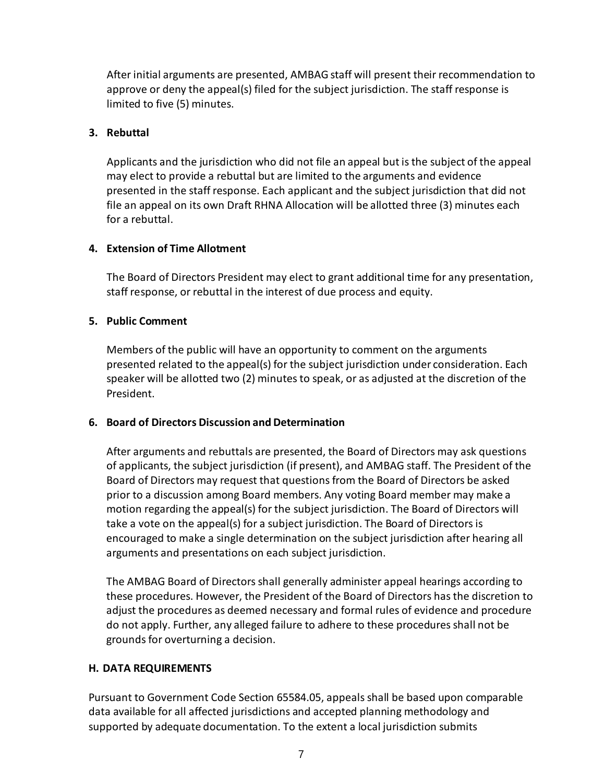After initial arguments are presented, AMBAG staff will present their recommendation to approve or deny the appeal(s) filed for the subject jurisdiction. The staff response is limited to five (5) minutes.

#### **3. Rebuttal**

Applicants and the jurisdiction who did not file an appeal butisthe subject of the appeal may elect to provide a rebuttal but are limited to the arguments and evidence presented in the staff response. Each applicant and the subject jurisdiction that did not file an appeal on its own Draft RHNA Allocation will be allotted three (3) minutes each for a rebuttal.

#### **4. Extension of Time Allotment**

The Board of Directors President may elect to grant additional time for any presentation, staff response, or rebuttal in the interest of due process and equity.

#### **5. Public Comment**

Members of the public will have an opportunity to comment on the arguments presented related to the appeal(s) for the subject jurisdiction under consideration. Each speaker will be allotted two (2) minutes to speak, or as adjusted at the discretion of the President.

#### **6. Board of Directors Discussion and Determination**

After arguments and rebuttals are presented, the Board of Directors may ask questions of applicants, the subject jurisdiction (if present), and AMBAG staff. The President of the Board of Directors may request that questions from the Board of Directors be asked prior to a discussion among Board members. Any voting Board member may make a motion regarding the appeal(s) for the subject jurisdiction. The Board of Directors will take a vote on the appeal(s) for a subject jurisdiction. The Board of Directorsis encouraged to make a single determination on the subject jurisdiction after hearing all arguments and presentations on each subject jurisdiction.

The AMBAG Board of Directorsshall generally administer appeal hearings according to these procedures. However, the President of the Board of Directors has the discretion to adjust the procedures as deemed necessary and formal rules of evidence and procedure do not apply. Further, any alleged failure to adhere to these procedures shall not be grounds for overturning a decision.

#### **H. DATA REQUIREMENTS**

Pursuant to Government Code Section 65584.05, appeals shall be based upon comparable data available for all affected jurisdictions and accepted planning methodology and supported by adequate documentation. To the extent a local jurisdiction submits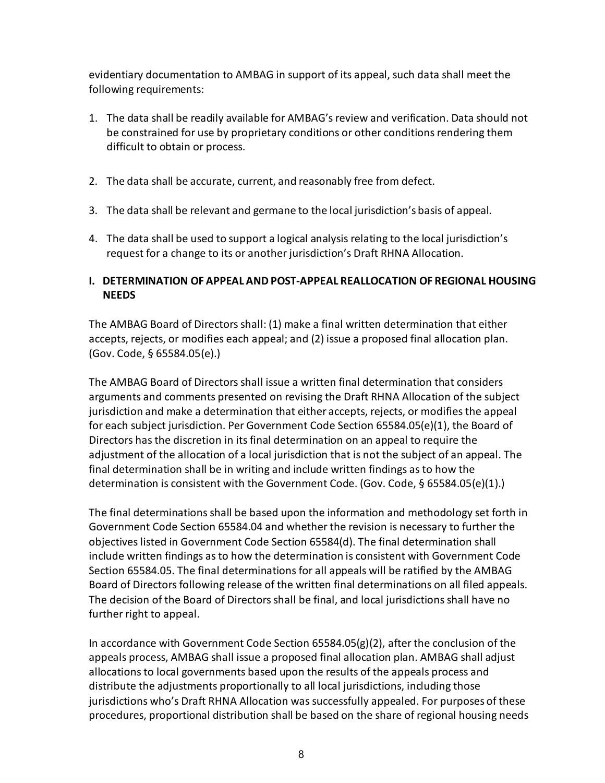evidentiary documentation to AMBAG in support of its appeal, such data shall meet the following requirements:

- 1. The data shall be readily available for AMBAG'sreview and verification. Data should not be constrained for use by proprietary conditions or other conditions rendering them difficult to obtain or process.
- 2. The data shall be accurate, current, and reasonably free from defect.
- 3. The data shall be relevant and germane to the local jurisdiction's basis of appeal.
- 4. The data shall be used to support a logical analysisrelating to the local jurisdiction's request for a change to its or another jurisdiction's Draft RHNA Allocation.

#### **I. DETERMINATION OF APPEAL AND POST-APPEAL REALLOCATION OF REGIONAL HOUSING NEEDS**

The AMBAG Board of Directorsshall: (1) make a final written determination that either accepts, rejects, or modifies each appeal; and (2) issue a proposed final allocation plan. (Gov. Code, § 65584.05(e).)

The AMBAG Board of Directors shall issue a written final determination that considers arguments and comments presented on revising the Draft RHNA Allocation of the subject jurisdiction and make a determination that either accepts, rejects, or modifiesthe appeal for each subject jurisdiction. Per Government Code Section 65584.05(e)(1), the Board of Directors has the discretion in its final determination on an appeal to require the adjustment of the allocation of a local jurisdiction that is not the subject of an appeal. The final determination shall be in writing and include written findings as to how the determination is consistent with the Government Code. (Gov. Code, § 65584.05(e)(1).)

The final determinations shall be based upon the information and methodology set forth in Government Code Section 65584.04 and whether the revision is necessary to further the objectiveslisted in Government Code Section 65584(d). The final determination shall include written findings as to how the determination is consistent with Government Code Section 65584.05. The final determinations for all appeals will be ratified by the AMBAG Board of Directors following release of the written final determinations on all filed appeals. The decision of the Board of Directors shall be final, and local jurisdictions shall have no further right to appeal.

In accordance with Government Code Section  $65584.05(g)(2)$ , after the conclusion of the appeals process, AMBAG shall issue a proposed final allocation plan. AMBAG shall adjust allocations to local governments based upon the results of the appeals process and distribute the adjustments proportionally to all local jurisdictions, including those jurisdictions who's Draft RHNA Allocation was successfully appealed. For purposes of these procedures, proportional distribution shall be based on the share of regional housing needs